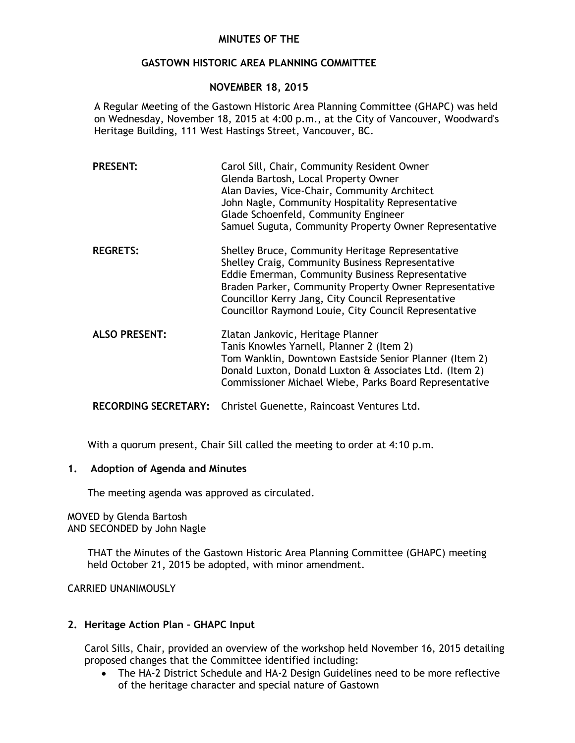# **MINUTES OF THE**

# **GASTOWN HISTORIC AREA PLANNING COMMITTEE**

# **NOVEMBER 18, 2015**

A Regular Meeting of the Gastown Historic Area Planning Committee (GHAPC) was held on Wednesday, November 18, 2015 at 4:00 p.m., at the City of Vancouver, Woodward's Heritage Building, 111 West Hastings Street, Vancouver, BC.

| <b>PRESENT:</b>             | Carol Sill, Chair, Community Resident Owner<br>Glenda Bartosh, Local Property Owner<br>Alan Davies, Vice-Chair, Community Architect<br>John Nagle, Community Hospitality Representative<br>Glade Schoenfeld, Community Engineer<br>Samuel Suguta, Community Property Owner Representative                                         |
|-----------------------------|-----------------------------------------------------------------------------------------------------------------------------------------------------------------------------------------------------------------------------------------------------------------------------------------------------------------------------------|
| <b>REGRETS:</b>             | Shelley Bruce, Community Heritage Representative<br>Shelley Craig, Community Business Representative<br>Eddie Emerman, Community Business Representative<br>Braden Parker, Community Property Owner Representative<br>Councillor Kerry Jang, City Council Representative<br>Councillor Raymond Louie, City Council Representative |
| <b>ALSO PRESENT:</b>        | Zlatan Jankovic, Heritage Planner<br>Tanis Knowles Yarnell, Planner 2 (Item 2)<br>Tom Wanklin, Downtown Eastside Senior Planner (Item 2)<br>Donald Luxton, Donald Luxton & Associates Ltd. (Item 2)<br>Commissioner Michael Wiebe, Parks Board Representative                                                                     |
| <b>RECORDING SECRETARY:</b> | Christel Guenette, Raincoast Ventures Ltd.                                                                                                                                                                                                                                                                                        |

With a quorum present, Chair Sill called the meeting to order at 4:10 p.m.

### **1. Adoption of Agenda and Minutes**

The meeting agenda was approved as circulated.

MOVED by Glenda Bartosh AND SECONDED by John Nagle

> THAT the Minutes of the Gastown Historic Area Planning Committee (GHAPC) meeting held October 21, 2015 be adopted, with minor amendment.

CARRIED UNANIMOUSLY

### **2. Heritage Action Plan – GHAPC Input**

Carol Sills, Chair, provided an overview of the workshop held November 16, 2015 detailing proposed changes that the Committee identified including:

 The HA-2 District Schedule and HA-2 Design Guidelines need to be more reflective of the heritage character and special nature of Gastown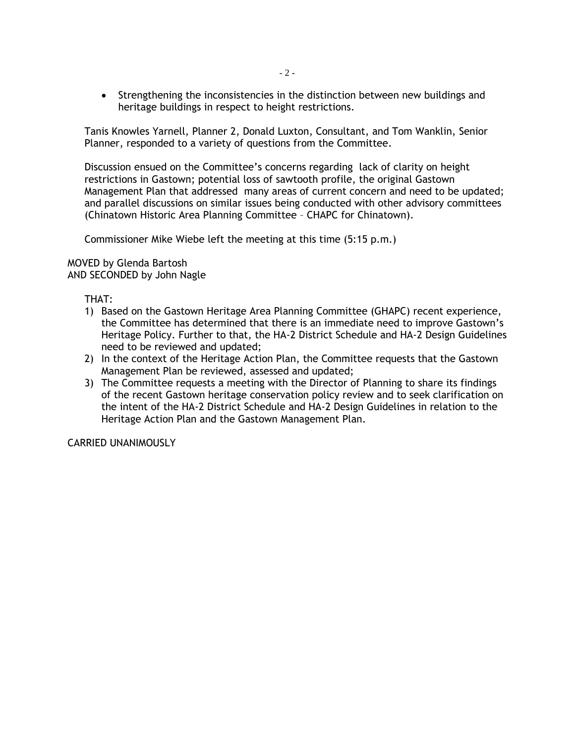Strengthening the inconsistencies in the distinction between new buildings and heritage buildings in respect to height restrictions.

Tanis Knowles Yarnell, Planner 2, Donald Luxton, Consultant, and Tom Wanklin, Senior Planner, responded to a variety of questions from the Committee.

Discussion ensued on the Committee's concerns regarding lack of clarity on height restrictions in Gastown; potential loss of sawtooth profile, the original Gastown Management Plan that addressed many areas of current concern and need to be updated; and parallel discussions on similar issues being conducted with other advisory committees (Chinatown Historic Area Planning Committee – CHAPC for Chinatown).

Commissioner Mike Wiebe left the meeting at this time (5:15 p.m.)

MOVED by Glenda Bartosh AND SECONDED by John Nagle

THAT:

- 1) Based on the Gastown Heritage Area Planning Committee (GHAPC) recent experience, the Committee has determined that there is an immediate need to improve Gastown's Heritage Policy. Further to that, the HA-2 District Schedule and HA-2 Design Guidelines need to be reviewed and updated;
- 2) In the context of the Heritage Action Plan, the Committee requests that the Gastown Management Plan be reviewed, assessed and updated;
- 3) The Committee requests a meeting with the Director of Planning to share its findings of the recent Gastown heritage conservation policy review and to seek clarification on the intent of the HA-2 District Schedule and HA-2 Design Guidelines in relation to the Heritage Action Plan and the Gastown Management Plan.

CARRIED UNANIMOUSLY